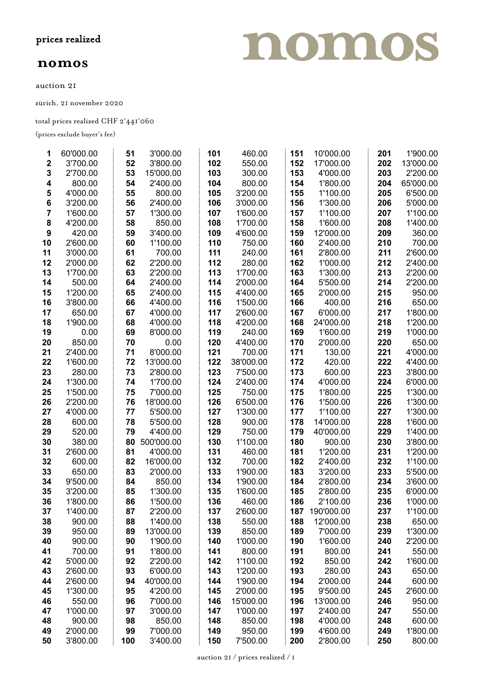## nomos

auction 21

zürich, 21 november 2020

total prices realized CHF 2'441'060

(prices exclude buyer's fee)

| 1                | 60'000.00 | 51  | 3'000.00   | 101 | 460.00    | 151 | 10'000.00  | 201 | 1'900.00  |
|------------------|-----------|-----|------------|-----|-----------|-----|------------|-----|-----------|
| $\mathbf 2$      | 3'700.00  | 52  | 3'800.00   | 102 | 550.00    | 152 | 17'000.00  | 202 | 13'000.00 |
| 3                | 2'700.00  | 53  | 15'000.00  | 103 | 300.00    | 153 | 4'000.00   | 203 | 2'200.00  |
| 4                | 800.00    | 54  | 2'400.00   | 104 | 800.00    | 154 | 1'800.00   | 204 | 65'000.00 |
| 5                | 4'000.00  | 55  | 800.00     | 105 | 3'200.00  | 155 | 1'100.00   | 205 | 6'500.00  |
| 6                | 3'200.00  | 56  | 2'400.00   | 106 | 3'000.00  | 156 | 1'300.00   | 206 | 5'000.00  |
| $\overline{7}$   | 1'600.00  | 57  | 1'300.00   | 107 | 1'600.00  | 157 | 1'100.00   | 207 | 1'100.00  |
| 8                | 4'200.00  | 58  | 850.00     | 108 | 1'700.00  | 158 | 1'600.00   | 208 | 1'400.00  |
| $\boldsymbol{9}$ | 420.00    | 59  | 3'400.00   | 109 | 4'600.00  | 159 | 12'000.00  | 209 | 360.00    |
| 10               | 2'600.00  | 60  | 1'100.00   | 110 | 750.00    | 160 | 2'400.00   | 210 | 700.00    |
| 11               | 3'000.00  | 61  | 700.00     | 111 | 240.00    | 161 | 2'800.00   | 211 | 2'600.00  |
| 12               | 2'000.00  | 62  | 2'200.00   | 112 | 280.00    | 162 | 1'000.00   | 212 | 2'400.00  |
| 13               | 1'700.00  | 63  | 2'200.00   | 113 | 1'700.00  | 163 | 1'300.00   | 213 | 2'200.00  |
| 14               | 500.00    | 64  | 2'400.00   | 114 | 2'000.00  | 164 | 5'500.00   | 214 | 2'200.00  |
| 15               | 1'200.00  | 65  | 2'400.00   | 115 | 4'400.00  | 165 | 2'000.00   | 215 | 950.00    |
| 16               | 3'800.00  | 66  | 4'400.00   | 116 | 1'500.00  | 166 | 400.00     | 216 | 650.00    |
| 17               | 650.00    | 67  | 4'000.00   | 117 | 2'600.00  | 167 | 6'000.00   | 217 | 1'800.00  |
| 18               | 1'900.00  | 68  | 4'000.00   | 118 | 4'200.00  | 168 | 24'000.00  | 218 | 1'200.00  |
| 19               | 0.00      | 69  | 8'000.00   | 119 | 240.00    | 169 | 1'600.00   | 219 | 1'000.00  |
| 20               | 850.00    | 70  | 0.00       | 120 | 4'400.00  | 170 | 2'000.00   | 220 | 650.00    |
| 21               | 2'400.00  | 71  | 8'000.00   | 121 | 700.00    | 171 | 130.00     | 221 | 4'000.00  |
| 22               | 1'600.00  | 72  | 13'000.00  | 122 | 38'000.00 | 172 | 420.00     | 222 | 4'400.00  |
| 23               | 280.00    | 73  | 2'800.00   | 123 | 7'500.00  | 173 | 600.00     | 223 | 3'800.00  |
| 24               | 1'300.00  | 74  | 1'700.00   | 124 | 2'400.00  | 174 | 4'000.00   | 224 | 6'000.00  |
| 25               | 1'500.00  | 75  | 7'000.00   | 125 | 750.00    | 175 | 1'800.00   | 225 | 1'300.00  |
| 26               | 2'200.00  | 76  | 18'000.00  | 126 | 6'500.00  | 176 | 1'500.00   | 226 | 1'300.00  |
| 27               | 4'000.00  | 77  | 5'500.00   | 127 | 1'300.00  | 177 | 1'100.00   | 227 | 1'300.00  |
| 28               | 600.00    | 78  | 5'500.00   | 128 | 900.00    | 178 | 14'000.00  | 228 | 1'600.00  |
| 29               | 520.00    | 79  | 4'400.00   | 129 | 750.00    | 179 | 40'000.00  | 229 | 1'400.00  |
| 30               | 380.00    | 80  | 500'000.00 | 130 | 1'100.00  | 180 | 900.00     | 230 | 3'800.00  |
| 31               | 2'600.00  | 81  | 4'000.00   | 131 | 460.00    | 181 | 1'200.00   | 231 | 1'200.00  |
| 32               | 600.00    | 82  | 16'000.00  | 132 | 700.00    | 182 | 2'400.00   | 232 | 1'100.00  |
| 33               | 650.00    | 83  | 2'000.00   | 133 | 1'900.00  | 183 | 3'200.00   | 233 | 5'500.00  |
| 34               | 9'500.00  | 84  | 850.00     | 134 | 1'900.00  | 184 | 2'800.00   | 234 | 3'600.00  |
| 35               | 3'200.00  | 85  | 1'300.00   | 135 | 1'600.00  | 185 | 2'800.00   | 235 | 6'000.00  |
| 36               | 1'800.00  | 86  | 1'500.00   | 136 | 460.00    | 186 | 2'100.00   | 236 | 1'000.00  |
| 37               | 1'400.00  | 87  | 2'200.00   | 137 | 2'600.00  | 187 | 190'000.00 | 237 | 1'100.00  |
| 38               | 900.00    | 88  | 1'400.00   | 138 | 550.00    | 188 | 12'000.00  | 238 | 650.00    |
| 39               | 950.00    | 89  | 13'000.00  | 139 | 850.00    | 189 | 7'000.00   | 239 | 1'300.00  |
| 40               | 900.00    | 90  | 1'900.00   | 140 | 1'000.00  | 190 | 1'600.00   | 240 | 2'200.00  |
| 41               | 700.00    | 91  | 1'800.00   | 141 | 800.00    | 191 | 800.00     | 241 | 550.00    |
| 42               | 5'000.00  | 92  | 2'200.00   | 142 | 1'100.00  | 192 | 850.00     | 242 | 1'600.00  |
| 43               | 2'600.00  | 93  | 6'000.00   | 143 | 1'200.00  | 193 | 280.00     | 243 | 650.00    |
| 44               | 2'600.00  | 94  | 40'000.00  | 144 | 1'900.00  | 194 | 2'000.00   | 244 | 600.00    |
| 45               | 1'300.00  | 95  | 4'200.00   | 145 | 2'000.00  | 195 | 9'500.00   | 245 | 2'600.00  |
| 46               | 550.00    | 96  | 7'000.00   | 146 | 15'000.00 | 196 | 13'000.00  | 246 | 950.00    |
| 47               | 1'000.00  | 97  | 3'000.00   | 147 | 1'000.00  | 197 | 2'400.00   | 247 | 550.00    |
| 48               | 900.00    | 98  | 850.00     | 148 | 850.00    | 198 | 4'000.00   | 248 | 600.00    |
| 49               | 2'000.00  | 99  | 7'000.00   | 149 | 950.00    | 199 | 4'600.00   | 249 | 1'800.00  |
| 50               | 3'800.00  | 100 | 3'400.00   | 150 | 7'500.00  | 200 | 2'800.00   | 250 | 800.00    |

nomos

auction 21 / prices realized /  $\scriptstyle\rm I$